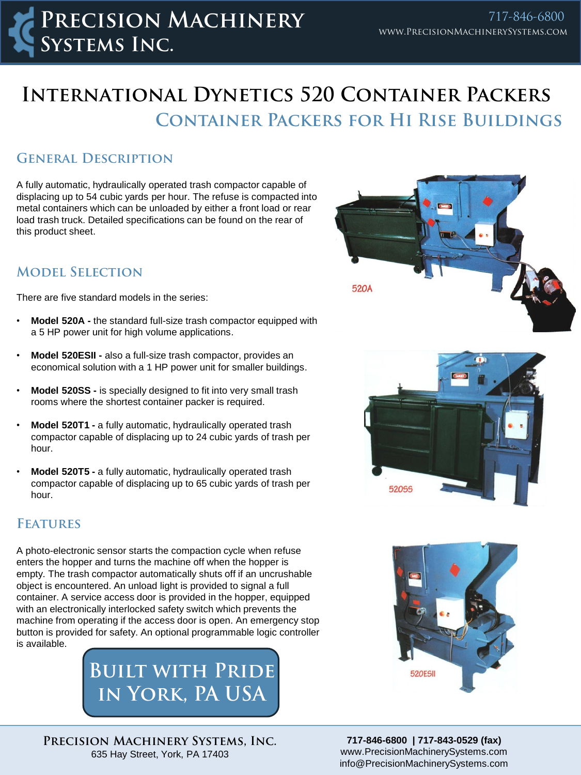# **Container Packers for Hi Rise Buildings International Dynetics 520 Container Packers**

#### **General Description**

A fully automatic, hydraulically operated trash compactor capable of displacing up to 54 cubic yards per hour. The refuse is compacted into metal containers which can be unloaded by either a front load or rear load trash truck. Detailed specifications can be found on the rear of this product sheet.

### **Model Selection**

There are five standard models in the series:

- **Model 520A -** the standard full-size trash compactor equipped with a 5 HP power unit for high volume applications.
- **Model 520ESII -** also a full-size trash compactor, provides an economical solution with a 1 HP power unit for smaller buildings.
- **Model 520SS -** is specially designed to fit into very small trash rooms where the shortest container packer is required.
- **Model 520T1 -** a fully automatic, hydraulically operated trash compactor capable of displacing up to 24 cubic yards of trash per hour.
- **Model 520T5 -** a fully automatic, hydraulically operated trash compactor capable of displacing up to 65 cubic yards of trash per hour.

#### **Features**

A photo-electronic sensor starts the compaction cycle when refuse enters the hopper and turns the machine off when the hopper is empty. The trash compactor automatically shuts off if an uncrushable object is encountered. An unload light is provided to signal a full container. A service access door is provided in the hopper, equipped with an electronically interlocked safety switch which prevents the machine from operating if the access door is open. An emergency stop button is provided for safety. An optional programmable logic controller is available.

> **Built with Pride in York, PA USA**

**Precision Machinery Systems, Inc.** 635 Hay Street, York, PA 17403







**717-846-6800 | 717-843-0529 (fax)** www.PrecisionMachinerySystems.com info@PrecisionMachinerySystems.com